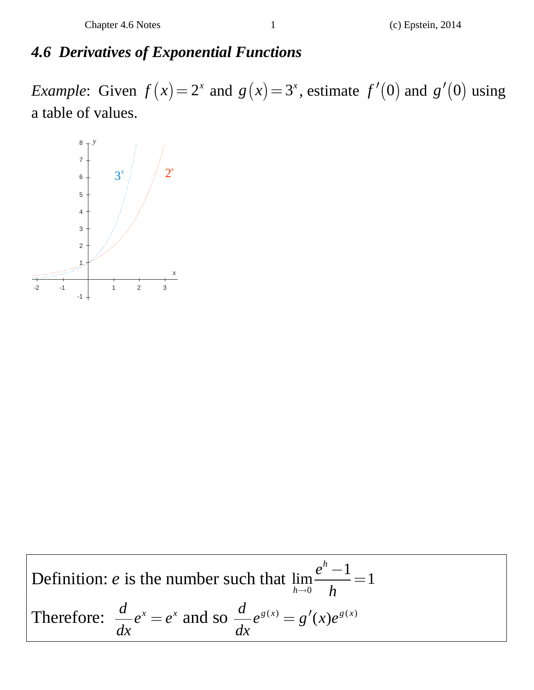## *4.6 Derivatives of Exponential Functions*

*Example*: Given  $f(x) = 2^x$  and  $g(x) = 3^x$ , estimate  $f'(0)$  and  $g'(0)$  using a table of values.



Definition: *e* is the number such that 
$$
\lim_{h \to 0} \frac{e^h - 1}{h} = 1
$$
  
Therefore:  $\frac{d}{dx} e^x = e^x$  and so  $\frac{d}{dx} e^{g(x)} = g'(x)e^{g(x)}$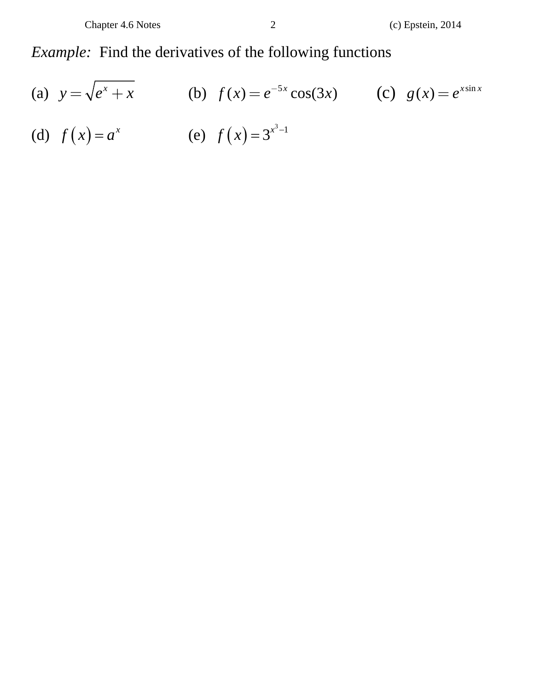## *Example:* Find the derivatives of the following functions

(a) 
$$
y = \sqrt{e^x + x}
$$
   
\n(b)  $f(x) = e^{-5x} \cos(3x)$    
\n(c)  $g(x) = e^{x \sin x}$    
\n(d)  $f(x) = a^x$    
\n(e)  $f(x) = 3^{x^3-1}$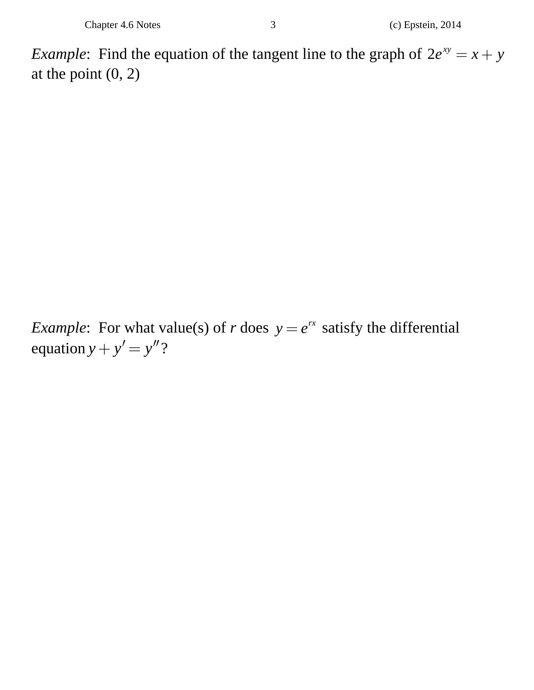*Example*: Find the equation of the tangent line to the graph of  $2e^{xy} = x + y$ at the point  $(0, 2)$ 

*Example*: For what value(s) of *r* does  $y = e^{rx}$  satisfy the differential equation  $y + y' = y''$ ?